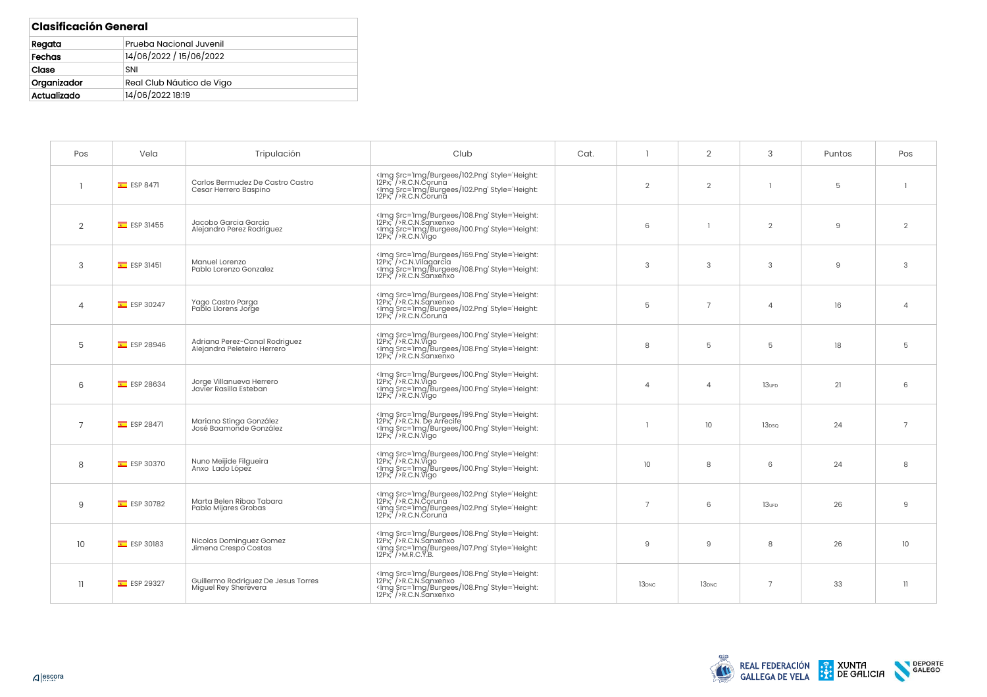| <b>Clasificación General</b>      |                           |  |  |  |
|-----------------------------------|---------------------------|--|--|--|
| Regata<br>Prueba Nacional Juvenil |                           |  |  |  |
| 14/06/2022 / 15/06/2022<br>Fechas |                           |  |  |  |
| Clase<br>SNI                      |                           |  |  |  |
| Organizador                       | Real Club Náutico de Vigo |  |  |  |
| 14/06/2022 18:19<br>Actualizado   |                           |  |  |  |

| Pos           | Vela          | Tripulación                                                  | Club                                                                                                                                                                                                                                                              | Cat. | -1                | $\overline{2}$    | 3                 | Puntos | Pos                     |
|---------------|---------------|--------------------------------------------------------------|-------------------------------------------------------------------------------------------------------------------------------------------------------------------------------------------------------------------------------------------------------------------|------|-------------------|-------------------|-------------------|--------|-------------------------|
|               | $E$ ESP 8471  | Carlos Bermudez De Castro Castro<br>Cesar Herrero Baspino    | <img 100.png'="" 108.png'="" 169.png'="" burgees="" img="" lmg="" src="Img/Burgees/102.Png" style="Height:&lt;br&gt;12Px;"/> R.C.N.Sqnxenxo<br>Ing Src='Img/Burgees/102.Png' Style='Height:<br>12Px; />R.C.N.Coruna                                               |      | 5                 | $\overline{7}$    | $\overline{4}$    | 16     | $\overline{4}$          |
| 5             | $E$ ESP 28946 | Adriana Perez-Canal Rodriquez<br>Alejandra Peleteiro Herrero | <lmg \$rc="lmg/Burgees/100.Png" style="Height:&lt;br&gt;12Px;"></lmg> R.C.N.Vigo<br><lmg \$rc="lmg/Burgees/108.Png" style="Height:&lt;br&gt;12Px;"></lmg> R.C.N.Sanxenxo                                                                                          |      | 8                 | 5                 | 5                 | 18     | 5                       |
| 6             | $E$ ESP 28634 | Jorge Villanueva Herrero<br>Javier Rasilla Esteban           | <img src="Img/Burgees/100.Png" style="Height:&lt;br&gt;12Px;"/> R.C.N.Vigo<br>ximg Src='lmg/Burgees/100.Png' Style='Height:<br>12Px;' />R.C.N.Vigo                                                                                                                |      | $\overline{4}$    | $\overline{4}$    | $13$ uFD          | 21     | 6                       |
| 7             | $E$ ESP 28471 | Mariano Stinga González<br>José Baamonde González            | <lmg src="lmg/Burgees/199.Png" style="Height:&lt;br&gt;12Px;"></lmg> R.C.N. De Arrecife<br><lmg '<="" math="" src="lmg/Burgees/100.Png" style="Height:&lt;br&gt;&lt;math&gt;12Px"> / <math>\triangleright</math> R.C.N.<math>\widetilde{\text{V}}</math>igo</lmg> |      |                   | 10                | 13 <sub>DSQ</sub> | 24     | $\overline{7}$          |
| 8             | $E$ ESP 30370 | Nuno Meijide Filgueira<br>Anxo Lado López                    | <img 100.png'="" burgees="" img="" src="Img/Burgees/100.Png" style="Height:&lt;br&gt;12Px;"/> R.C.N.Vigo                                                                                                                                                          |      | 10                | 8                 | 6                 | 24     | 8                       |
| 9             | $E$ ESP 30782 | Marta Belen Ribao Tabara<br>Pablo Mijares Grobas             | <img src="Img/Burgees/102.Png" style="Height:&lt;br&gt;12Px;"/> R.C.N.Coruna<br><lmg 107.png'="" 108.png'="" burgees="" img="" lmg="" src="lmg/Burgees/102.Png" style="Height:&lt;br&gt;12Px;"></lmg> M.R.C.Y.B.                                                  |      | 9                 | 9                 | 8                 | 26     | 10 <sup>°</sup>         |
| $\mathbf{11}$ | $E$ ESP 29327 | Guillermo Rodriguez De Jesus Torres<br>Miquel Rey Sherevera  | <lmg src="lmg/Burgees/108.Png" style="Height:&lt;br&gt;12Px;"></lmg> R.C.N.Sqnxenxo<br>ximg Src='lmg/Burgees/108.Png' Style='Height:<br>12Px;' />R.C.N.Sanxenxo                                                                                                   |      | 13 <sub>DNC</sub> | 13 <sub>DNC</sub> | $\overline{7}$    | 33     | $\overline{\mathbf{1}}$ |